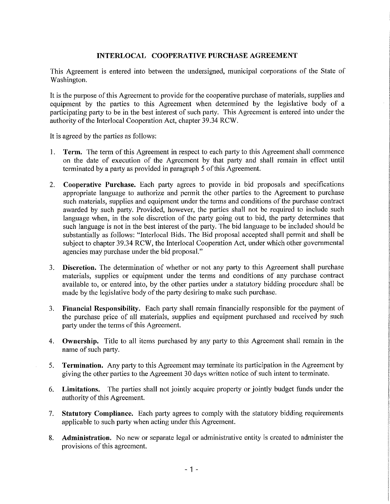## **INTERLOCAL COOPERATIVE PURCHASE AGREEMENT**

This Agreement is entered into between the undersigned, municipal corporations of the State of Washington.

It is the purpose of this Agreement to provide for the cooperative purchase of materials, supplies and equipment by the parties to this Agreement when determined by the legislative body of a participating party to be in the best interest of such party. This Agreement is entered into under the authority of the Interlocal Cooperation Act, chapter 39.34 RCW.

It is agreed by the parties as follows:

- 1. **Term.** The term of this Agreement in respect to each party to this Agreement shall commence on the date of execution of the Agreement by that party and shall remain in effect until terminated by a party as provided in paragraph 5 of this Agreement.
- Cooperative Purchase. Each party agrees to provide in bid proposals and specifications  $2.$ appropriate language to authorize and permit the other parties to the Agreement to purchase such materials, supplies and equipment under the terms and conditions of the purchase contract awarded by such party. Provided, however, the parties shall not be required to include such language when, in the sole discretion of the party going out to bid, the party determines that such language is not in the best interest of the party. The bid language to be included should be substantially as follows: "Interlocal Bids. The Bid proposal accepted shall permit and shall be subject to chapter 39.34 RCW, the Interlocal Cooperation Act, under which other governmental agencies may purchase under the bid proposal."
- $3<sup>1</sup>$ **Discretion.** The determination of whether or not any party to this Agreement shall purchase materials, supplies or equipment under the terms and conditions of any purchase contract available to, or entered into, by the other parties under a statutory bidding procedure shall be made by the legislative body of the party desiring to make such purchase.
- Financial Responsibility. Each party shall remain financially responsible for the payment of  $3.$ the purchase price of all materials, supplies and equipment purchased and received by such party under the terms of this Agreement.
- 4. Ownership. Title to all items purchased by any party to this Agreement shall remain in the name of such party.
- 5. **Termination.** Any party to this Agreement may terminate its participation in the Agreement by giving the other parties to the Agreement 30 days written notice of such intent to terminate.
- 6. Limitations. The parties shall not jointly acquire property or jointly budget funds under the authority of this Agreement.
- Statutory Compliance. Each party agrees to comply with the statutory bidding requirements  $7.$ applicable to such party when acting under this Agreement.
- Administration. No new or separate legal or administrative entity is created to administer the 8. provisions of this agreement.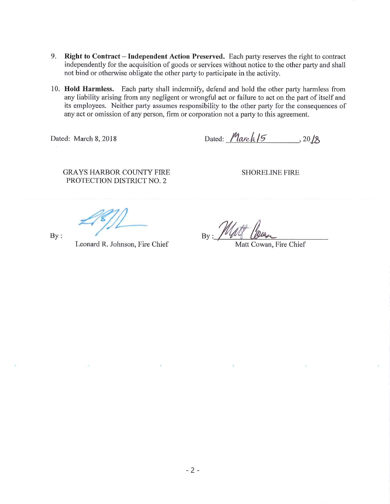- 9. Right to Contract Independent Action Preserved. Each party reserves the right to contract independently for the acquisition of goods or services without notice to the other party and shall not bind or otherwise obligate the other party to participate in the activity.
- 10. Hold Harmless. Each party shall indemnify, defend and hold the other party harmless from any liability arising from any negligent or wrongful act or failure to act on the part of itself and its employees. Neither party assumes responsibility to the other party for the consequences of any act or omission of any person, firm or corporation not a party to this agreement.

Dated: March 8, 2018

Dated:  $Mareh/5$ , 20/8

**GRAYS HARBOR COUNTY FIRE** PROTECTION DISTRICT NO. 2

**SHORELINE FIRE** 

 $By:$ 

Leonard R. Johnson, Fire Chief

 $_{\rm By}:$  //

Matt Cowan, Fire Chief